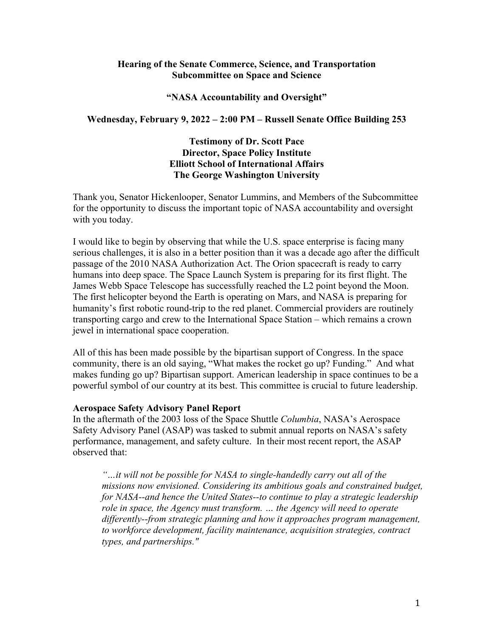# **Hearing of the Senate Commerce, Science, and Transportation Subcommittee on Space and Science**

### **"NASA Accountability and Oversight"**

# **Wednesday, February 9, 2022 – 2:00 PM – Russell Senate Office Building 253**

# **Testimony of Dr. Scott Pace Director, Space Policy Institute Elliott School of International Affairs The George Washington University**

Thank you, Senator Hickenlooper, Senator Lummins, and Members of the Subcommittee for the opportunity to discuss the important topic of NASA accountability and oversight with you today.

I would like to begin by observing that while the U.S. space enterprise is facing many serious challenges, it is also in a better position than it was a decade ago after the difficult passage of the 2010 NASA Authorization Act. The Orion spacecraft is ready to carry humans into deep space. The Space Launch System is preparing for its first flight. The James Webb Space Telescope has successfully reached the L2 point beyond the Moon. The first helicopter beyond the Earth is operating on Mars, and NASA is preparing for humanity's first robotic round-trip to the red planet. Commercial providers are routinely transporting cargo and crew to the International Space Station – which remains a crown jewel in international space cooperation.

All of this has been made possible by the bipartisan support of Congress. In the space community, there is an old saying, "What makes the rocket go up? Funding." And what makes funding go up? Bipartisan support. American leadership in space continues to be a powerful symbol of our country at its best. This committee is crucial to future leadership.

### **Aerospace Safety Advisory Panel Report**

In the aftermath of the 2003 loss of the Space Shuttle *Columbia*, NASA's Aerospace Safety Advisory Panel (ASAP) was tasked to submit annual reports on NASA's safety performance, management, and safety culture. In their most recent report, the ASAP observed that:

*"…it will not be possible for NASA to single-handedly carry out all of the missions now envisioned. Considering its ambitious goals and constrained budget, for NASA--and hence the United States--to continue to play a strategic leadership role in space, the Agency must transform. … the Agency will need to operate differently--from strategic planning and how it approaches program management, to workforce development, facility maintenance, acquisition strategies, contract types, and partnerships."*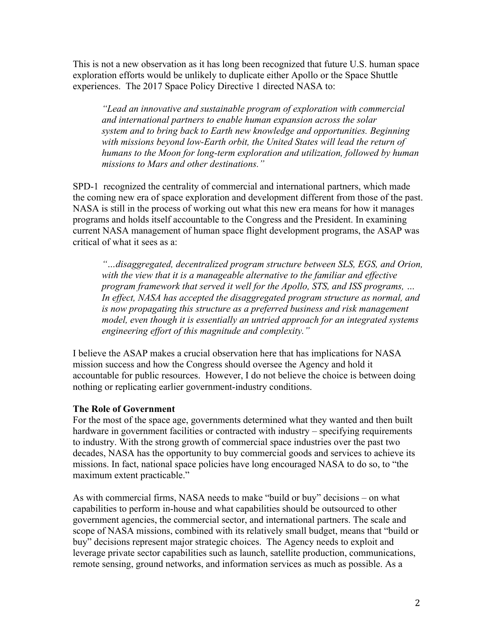This is not a new observation as it has long been recognized that future U.S. human space exploration efforts would be unlikely to duplicate either Apollo or the Space Shuttle experiences. The 2017 Space Policy Directive 1 directed NASA to:

*"Lead an innovative and sustainable program of exploration with commercial and international partners to enable human expansion across the solar system and to bring back to Earth new knowledge and opportunities. Beginning with missions beyond low-Earth orbit, the United States will lead the return of humans to the Moon for long-term exploration and utilization, followed by human missions to Mars and other destinations."*

SPD-1 recognized the centrality of commercial and international partners, which made the coming new era of space exploration and development different from those of the past. NASA is still in the process of working out what this new era means for how it manages programs and holds itself accountable to the Congress and the President. In examining current NASA management of human space flight development programs, the ASAP was critical of what it sees as a:

*"…disaggregated, decentralized program structure between SLS, EGS, and Orion, with the view that it is a manageable alternative to the familiar and effective program framework that served it well for the Apollo, STS, and ISS programs, … In effect, NASA has accepted the disaggregated program structure as normal, and is now propagating this structure as a preferred business and risk management model, even though it is essentially an untried approach for an integrated systems engineering effort of this magnitude and complexity."*

I believe the ASAP makes a crucial observation here that has implications for NASA mission success and how the Congress should oversee the Agency and hold it accountable for public resources. However, I do not believe the choice is between doing nothing or replicating earlier government-industry conditions.

### **The Role of Government**

For the most of the space age, governments determined what they wanted and then built hardware in government facilities or contracted with industry – specifying requirements to industry. With the strong growth of commercial space industries over the past two decades, NASA has the opportunity to buy commercial goods and services to achieve its missions. In fact, national space policies have long encouraged NASA to do so, to "the maximum extent practicable."

As with commercial firms, NASA needs to make "build or buy" decisions – on what capabilities to perform in-house and what capabilities should be outsourced to other government agencies, the commercial sector, and international partners. The scale and scope of NASA missions, combined with its relatively small budget, means that "build or buy" decisions represent major strategic choices. The Agency needs to exploit and leverage private sector capabilities such as launch, satellite production, communications, remote sensing, ground networks, and information services as much as possible. As a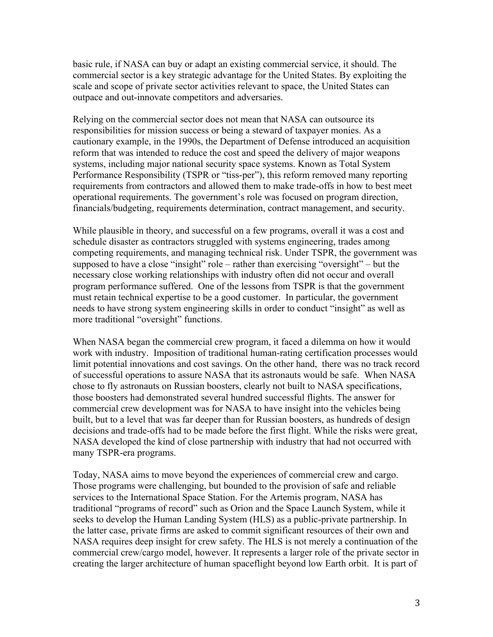basic rule, if NASA can buy or adapt an existing commercial service, it should. The commercial sector is a key strategic advantage for the United States. By exploiting the scale and scope of private sector activities relevant to space, the United States can outpace and out-innovate competitors and adversaries.

Relying on the commercial sector does not mean that NASA can outsource its responsibilities for mission success or being a steward of taxpayer monies. As a cautionary example, in the 1990s, the Department of Defense introduced an acquisition reform that was intended to reduce the cost and speed the delivery of major weapons systems, including major national security space systems. Known as Total System Performance Responsibility (TSPR or "tiss-per"), this reform removed many reporting requirements from contractors and allowed them to make trade-offs in how to best meet operational requirements. The government's role was focused on program direction, financials/budgeting, requirements determination, contract management, and security.

While plausible in theory, and successful on a few programs, overall it was a cost and schedule disaster as contractors struggled with systems engineering, trades among competing requirements, and managing technical risk. Under TSPR, the government was supposed to have a close "insight" role – rather than exercising "oversight" – but the necessary close working relationships with industry often did not occur and overall program performance suffered. One of the lessons from TSPR is that the government must retain technical expertise to be a good customer. In particular, the government needs to have strong system engineering skills in order to conduct "insight" as well as more traditional "oversight" functions.

When NASA began the commercial crew program, it faced a dilemma on how it would work with industry. Imposition of traditional human-rating certification processes would limit potential innovations and cost savings. On the other hand, there was no track record of successful operations to assure NASA that its astronauts would be safe. When NASA chose to fly astronauts on Russian boosters, clearly not built to NASA specifications, those boosters had demonstrated several hundred successful flights. The answer for commercial crew development was for NASA to have insight into the vehicles being built, but to a level that was far deeper than for Russian boosters, as hundreds of design decisions and trade-offs had to be made before the first flight. While the risks were great, NASA developed the kind of close partnership with industry that had not occurred with many TSPR-era programs.

Today, NASA aims to move beyond the experiences of commercial crew and cargo. Those programs were challenging, but bounded to the provision of safe and reliable services to the International Space Station. For the Artemis program, NASA has traditional "programs of record" such as Orion and the Space Launch System, while it seeks to develop the Human Landing System (HLS) as a public-private partnership. In the latter case, private firms are asked to commit significant resources of their own and NASA requires deep insight for crew safety. The HLS is not merely a continuation of the commercial crew/cargo model, however. It represents a larger role of the private sector in creating the larger architecture of human spaceflight beyond low Earth orbit. It is part of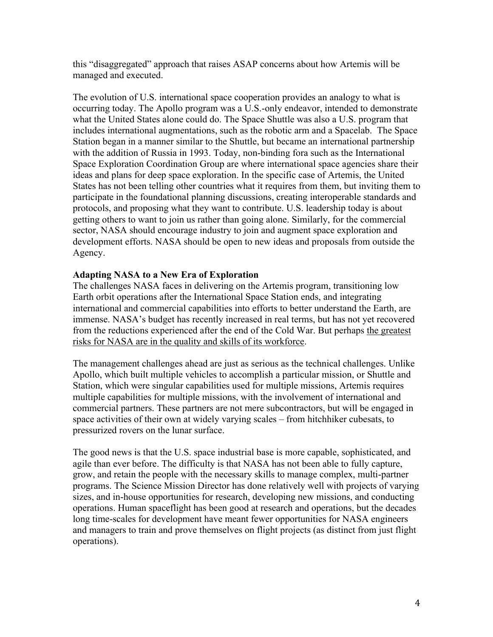this "disaggregated" approach that raises ASAP concerns about how Artemis will be managed and executed.

The evolution of U.S. international space cooperation provides an analogy to what is occurring today. The Apollo program was a U.S.-only endeavor, intended to demonstrate what the United States alone could do. The Space Shuttle was also a U.S. program that includes international augmentations, such as the robotic arm and a Spacelab. The Space Station began in a manner similar to the Shuttle, but became an international partnership with the addition of Russia in 1993. Today, non-binding fora such as the International Space Exploration Coordination Group are where international space agencies share their ideas and plans for deep space exploration. In the specific case of Artemis, the United States has not been telling other countries what it requires from them, but inviting them to participate in the foundational planning discussions, creating interoperable standards and protocols, and proposing what they want to contribute. U.S. leadership today is about getting others to want to join us rather than going alone. Similarly, for the commercial sector, NASA should encourage industry to join and augment space exploration and development efforts. NASA should be open to new ideas and proposals from outside the Agency.

# **Adapting NASA to a New Era of Exploration**

The challenges NASA faces in delivering on the Artemis program, transitioning low Earth orbit operations after the International Space Station ends, and integrating international and commercial capabilities into efforts to better understand the Earth, are immense. NASA's budget has recently increased in real terms, but has not yet recovered from the reductions experienced after the end of the Cold War. But perhaps the greatest risks for NASA are in the quality and skills of its workforce.

The management challenges ahead are just as serious as the technical challenges. Unlike Apollo, which built multiple vehicles to accomplish a particular mission, or Shuttle and Station, which were singular capabilities used for multiple missions, Artemis requires multiple capabilities for multiple missions, with the involvement of international and commercial partners. These partners are not mere subcontractors, but will be engaged in space activities of their own at widely varying scales – from hitchhiker cubesats, to pressurized rovers on the lunar surface.

The good news is that the U.S. space industrial base is more capable, sophisticated, and agile than ever before. The difficulty is that NASA has not been able to fully capture, grow, and retain the people with the necessary skills to manage complex, multi-partner programs. The Science Mission Director has done relatively well with projects of varying sizes, and in-house opportunities for research, developing new missions, and conducting operations. Human spaceflight has been good at research and operations, but the decades long time-scales for development have meant fewer opportunities for NASA engineers and managers to train and prove themselves on flight projects (as distinct from just flight operations).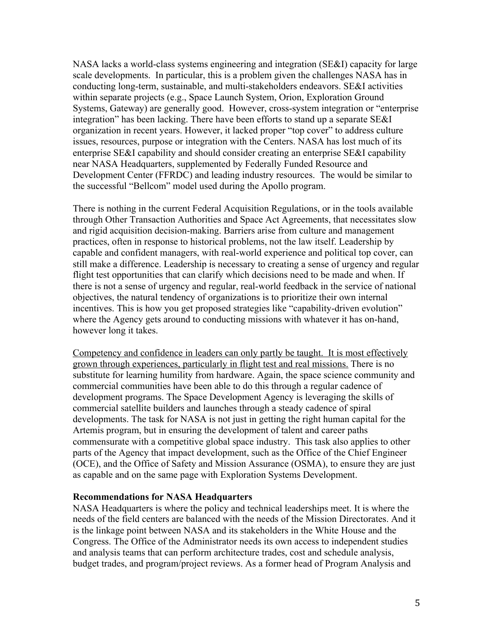NASA lacks a world-class systems engineering and integration (SE&I) capacity for large scale developments. In particular, this is a problem given the challenges NASA has in conducting long-term, sustainable, and multi-stakeholders endeavors. SE&I activities within separate projects (e.g., Space Launch System, Orion, Exploration Ground Systems, Gateway) are generally good. However, cross-system integration or "enterprise integration" has been lacking. There have been efforts to stand up a separate SE&I organization in recent years. However, it lacked proper "top cover" to address culture issues, resources, purpose or integration with the Centers. NASA has lost much of its enterprise SE&I capability and should consider creating an enterprise SE&I capability near NASA Headquarters, supplemented by Federally Funded Resource and Development Center (FFRDC) and leading industry resources. The would be similar to the successful "Bellcom" model used during the Apollo program.

There is nothing in the current Federal Acquisition Regulations, or in the tools available through Other Transaction Authorities and Space Act Agreements, that necessitates slow and rigid acquisition decision-making. Barriers arise from culture and management practices, often in response to historical problems, not the law itself. Leadership by capable and confident managers, with real-world experience and political top cover, can still make a difference. Leadership is necessary to creating a sense of urgency and regular flight test opportunities that can clarify which decisions need to be made and when. If there is not a sense of urgency and regular, real-world feedback in the service of national objectives, the natural tendency of organizations is to prioritize their own internal incentives. This is how you get proposed strategies like "capability-driven evolution" where the Agency gets around to conducting missions with whatever it has on-hand, however long it takes.

Competency and confidence in leaders can only partly be taught. It is most effectively grown through experiences, particularly in flight test and real missions. There is no substitute for learning humility from hardware. Again, the space science community and commercial communities have been able to do this through a regular cadence of development programs. The Space Development Agency is leveraging the skills of commercial satellite builders and launches through a steady cadence of spiral developments. The task for NASA is not just in getting the right human capital for the Artemis program, but in ensuring the development of talent and career paths commensurate with a competitive global space industry. This task also applies to other parts of the Agency that impact development, such as the Office of the Chief Engineer (OCE), and the Office of Safety and Mission Assurance (OSMA), to ensure they are just as capable and on the same page with Exploration Systems Development.

#### **Recommendations for NASA Headquarters**

NASA Headquarters is where the policy and technical leaderships meet. It is where the needs of the field centers are balanced with the needs of the Mission Directorates. And it is the linkage point between NASA and its stakeholders in the White House and the Congress. The Office of the Administrator needs its own access to independent studies and analysis teams that can perform architecture trades, cost and schedule analysis, budget trades, and program/project reviews. As a former head of Program Analysis and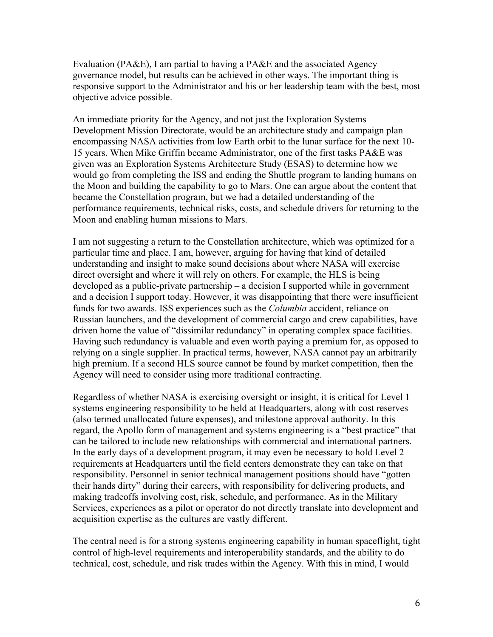Evaluation (PA&E), I am partial to having a PA&E and the associated Agency governance model, but results can be achieved in other ways. The important thing is responsive support to the Administrator and his or her leadership team with the best, most objective advice possible.

An immediate priority for the Agency, and not just the Exploration Systems Development Mission Directorate, would be an architecture study and campaign plan encompassing NASA activities from low Earth orbit to the lunar surface for the next 10- 15 years. When Mike Griffin became Administrator, one of the first tasks PA&E was given was an Exploration Systems Architecture Study (ESAS) to determine how we would go from completing the ISS and ending the Shuttle program to landing humans on the Moon and building the capability to go to Mars. One can argue about the content that became the Constellation program, but we had a detailed understanding of the performance requirements, technical risks, costs, and schedule drivers for returning to the Moon and enabling human missions to Mars.

I am not suggesting a return to the Constellation architecture, which was optimized for a particular time and place. I am, however, arguing for having that kind of detailed understanding and insight to make sound decisions about where NASA will exercise direct oversight and where it will rely on others. For example, the HLS is being developed as a public-private partnership – a decision I supported while in government and a decision I support today. However, it was disappointing that there were insufficient funds for two awards. ISS experiences such as the *Columbia* accident, reliance on Russian launchers, and the development of commercial cargo and crew capabilities, have driven home the value of "dissimilar redundancy" in operating complex space facilities. Having such redundancy is valuable and even worth paying a premium for, as opposed to relying on a single supplier. In practical terms, however, NASA cannot pay an arbitrarily high premium. If a second HLS source cannot be found by market competition, then the Agency will need to consider using more traditional contracting.

Regardless of whether NASA is exercising oversight or insight, it is critical for Level 1 systems engineering responsibility to be held at Headquarters, along with cost reserves (also termed unallocated future expenses), and milestone approval authority. In this regard, the Apollo form of management and systems engineering is a "best practice" that can be tailored to include new relationships with commercial and international partners. In the early days of a development program, it may even be necessary to hold Level 2 requirements at Headquarters until the field centers demonstrate they can take on that responsibility. Personnel in senior technical management positions should have "gotten their hands dirty" during their careers, with responsibility for delivering products, and making tradeoffs involving cost, risk, schedule, and performance. As in the Military Services, experiences as a pilot or operator do not directly translate into development and acquisition expertise as the cultures are vastly different.

The central need is for a strong systems engineering capability in human spaceflight, tight control of high-level requirements and interoperability standards, and the ability to do technical, cost, schedule, and risk trades within the Agency. With this in mind, I would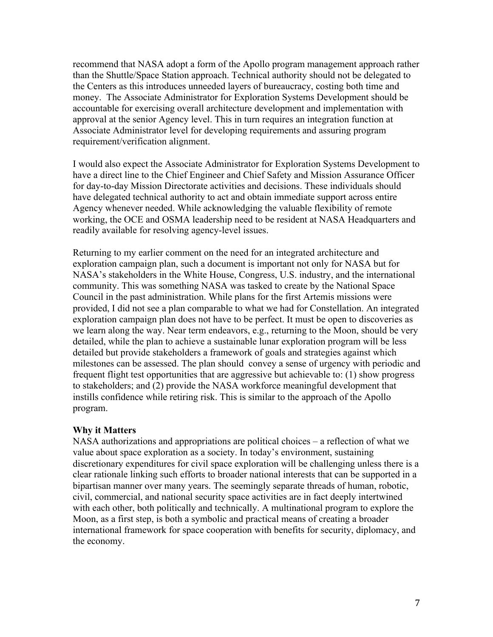recommend that NASA adopt a form of the Apollo program management approach rather than the Shuttle/Space Station approach. Technical authority should not be delegated to the Centers as this introduces unneeded layers of bureaucracy, costing both time and money. The Associate Administrator for Exploration Systems Development should be accountable for exercising overall architecture development and implementation with approval at the senior Agency level. This in turn requires an integration function at Associate Administrator level for developing requirements and assuring program requirement/verification alignment.

I would also expect the Associate Administrator for Exploration Systems Development to have a direct line to the Chief Engineer and Chief Safety and Mission Assurance Officer for day-to-day Mission Directorate activities and decisions. These individuals should have delegated technical authority to act and obtain immediate support across entire Agency whenever needed. While acknowledging the valuable flexibility of remote working, the OCE and OSMA leadership need to be resident at NASA Headquarters and readily available for resolving agency-level issues.

Returning to my earlier comment on the need for an integrated architecture and exploration campaign plan, such a document is important not only for NASA but for NASA's stakeholders in the White House, Congress, U.S. industry, and the international community. This was something NASA was tasked to create by the National Space Council in the past administration. While plans for the first Artemis missions were provided, I did not see a plan comparable to what we had for Constellation. An integrated exploration campaign plan does not have to be perfect. It must be open to discoveries as we learn along the way. Near term endeavors, e.g., returning to the Moon, should be very detailed, while the plan to achieve a sustainable lunar exploration program will be less detailed but provide stakeholders a framework of goals and strategies against which milestones can be assessed. The plan should convey a sense of urgency with periodic and frequent flight test opportunities that are aggressive but achievable to: (1) show progress to stakeholders; and (2) provide the NASA workforce meaningful development that instills confidence while retiring risk. This is similar to the approach of the Apollo program.

### **Why it Matters**

NASA authorizations and appropriations are political choices – a reflection of what we value about space exploration as a society. In today's environment, sustaining discretionary expenditures for civil space exploration will be challenging unless there is a clear rationale linking such efforts to broader national interests that can be supported in a bipartisan manner over many years. The seemingly separate threads of human, robotic, civil, commercial, and national security space activities are in fact deeply intertwined with each other, both politically and technically. A multinational program to explore the Moon, as a first step, is both a symbolic and practical means of creating a broader international framework for space cooperation with benefits for security, diplomacy, and the economy.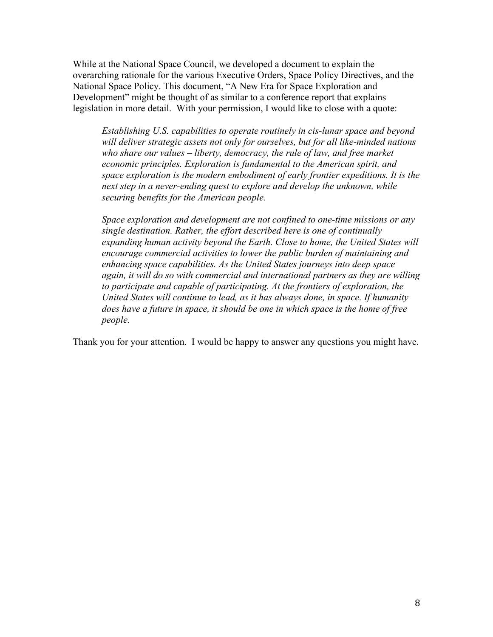While at the National Space Council, we developed a document to explain the overarching rationale for the various Executive Orders, Space Policy Directives, and the National Space Policy. This document, "A New Era for Space Exploration and Development" might be thought of as similar to a conference report that explains legislation in more detail. With your permission, I would like to close with a quote:

*Establishing U.S. capabilities to operate routinely in cis-lunar space and beyond will deliver strategic assets not only for ourselves, but for all like-minded nations who share our values – liberty, democracy, the rule of law, and free market economic principles. Exploration is fundamental to the American spirit, and space exploration is the modern embodiment of early frontier expeditions. It is the next step in a never-ending quest to explore and develop the unknown, while securing benefits for the American people.* 

*Space exploration and development are not confined to one-time missions or any single destination. Rather, the effort described here is one of continually expanding human activity beyond the Earth. Close to home, the United States will encourage commercial activities to lower the public burden of maintaining and enhancing space capabilities. As the United States journeys into deep space again, it will do so with commercial and international partners as they are willing to participate and capable of participating. At the frontiers of exploration, the United States will continue to lead, as it has always done, in space. If humanity does have a future in space, it should be one in which space is the home of free people.* 

Thank you for your attention. I would be happy to answer any questions you might have.